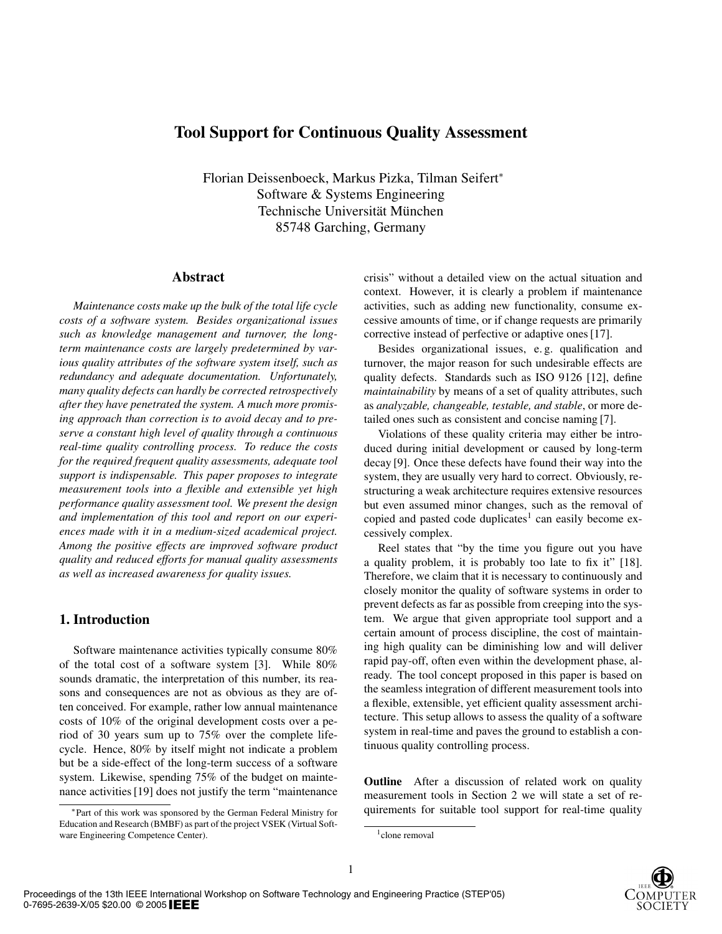# Tool Support for Continuous Quality Assessment

Florian Deissenboeck, Markus Pizka, Tilman Seifert<sup>∗</sup> Software & Systems Engineering Technische Universität München 85748 Garching, Germany

### Abstract

*Maintenance costs make up the bulk of the total life cycle costs of a software system. Besides organizational issues such as knowledge management and turnover, the longterm maintenance costs are largely predetermined by various quality attributes of the software system itself, such as redundancy and adequate documentation. Unfortunately, many quality defects can hardly be corrected retrospectively after they have penetrated the system. A much more promising approach than correction is to avoid decay and to preserve a constant high level of quality through a continuous real-time quality controlling process. To reduce the costs for the required frequent quality assessments, adequate tool support is indispensable. This paper proposes to integrate measurement tools into a flexible and extensible yet high performance quality assessment tool. We present the design and implementation of this tool and report on our experiences made with it in a medium-sized academical project. Among the positive effects are improved software product quality and reduced efforts for manual quality assessments as well as increased awareness for quality issues.*

### 1. Introduction

Software maintenance activities typically consume 80% of the total cost of a software system [3]. While 80% sounds dramatic, the interpretation of this number, its reasons and consequences are not as obvious as they are often conceived. For example, rather low annual maintenance costs of 10% of the original development costs over a period of 30 years sum up to 75% over the complete lifecycle. Hence, 80% by itself might not indicate a problem but be a side-effect of the long-term success of a software system. Likewise, spending 75% of the budget on maintenance activities [19] does not justify the term "maintenance crisis" without a detailed view on the actual situation and context. However, it is clearly a problem if maintenance activities, such as adding new functionality, consume excessive amounts of time, or if change requests are primarily corrective instead of perfective or adaptive ones [17].

Besides organizational issues, e. g. qualification and turnover, the major reason for such undesirable effects are quality defects. Standards such as ISO 9126 [12], define *maintainability* by means of a set of quality attributes, such as *analyzable, changeable, testable, and stable*, or more detailed ones such as consistent and concise naming [7].

Violations of these quality criteria may either be introduced during initial development or caused by long-term decay [9]. Once these defects have found their way into the system, they are usually very hard to correct. Obviously, restructuring a weak architecture requires extensive resources but even assumed minor changes, such as the removal of copied and pasted code duplicates<sup>1</sup> can easily become excessively complex.

Reel states that "by the time you figure out you have a quality problem, it is probably too late to fix it" [18]. Therefore, we claim that it is necessary to continuously and closely monitor the quality of software systems in order to prevent defects as far as possible from creeping into the system. We argue that given appropriate tool support and a certain amount of process discipline, the cost of maintaining high quality can be diminishing low and will deliver rapid pay-off, often even within the development phase, already. The tool concept proposed in this paper is based on the seamless integration of different measurement tools into a flexible, extensible, yet efficient quality assessment architecture. This setup allows to assess the quality of a software system in real-time and paves the ground to establish a continuous quality controlling process.

**Outline** After a discussion of related work on quality measurement tools in Section 2 we will state a set of requirements for suitable tool support for real-time quality



<sup>∗</sup>Part of this work was sponsored by the German Federal Ministry for Education and Research (BMBF) as part of the project VSEK (Virtual Software Engineering Competence Center).

<sup>&</sup>lt;sup>1</sup>clone removal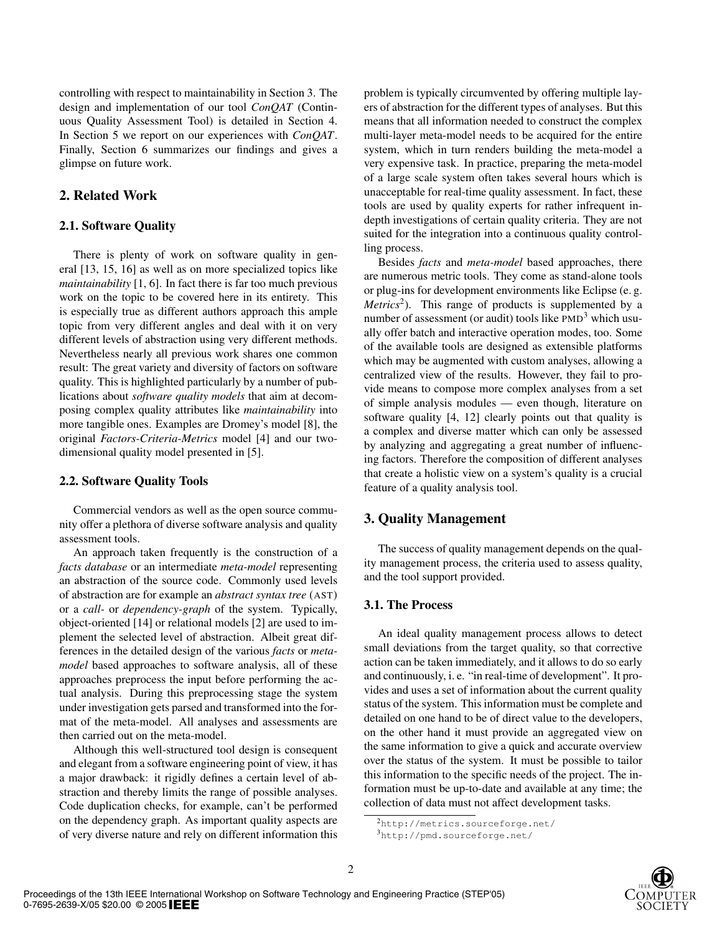controlling with respect to maintainability in Section 3. The design and implementation of our tool *ConQAT* (Continuous Quality Assessment Tool) is detailed in Section 4. In Section 5 we report on our experiences with *ConQAT*. Finally, Section 6 summarizes our findings and gives a glimpse on future work.

## 2. Related Work

### 2.1. Software Quality

There is plenty of work on software quality in general [13, 15, 16] as well as on more specialized topics like *maintainability* [1, 6]. In fact there is far too much previous work on the topic to be covered here in its entirety. This is especially true as different authors approach this ample topic from very different angles and deal with it on very different levels of abstraction using very different methods. Nevertheless nearly all previous work shares one common result: The great variety and diversity of factors on software quality. This is highlighted particularly by a number of publications about *software quality models* that aim at decomposing complex quality attributes like *maintainability* into more tangible ones. Examples are Dromey's model [8], the original *Factors-Criteria-Metrics* model [4] and our twodimensional quality model presented in [5].

### 2.2. Software Quality Tools

Commercial vendors as well as the open source community offer a plethora of diverse software analysis and quality assessment tools.

An approach taken frequently is the construction of a *facts database* or an intermediate *meta-model* representing an abstraction of the source code. Commonly used levels of abstraction are for example an *abstract syntax tree* (AST) or a *call-* or *dependency-graph* of the system. Typically, object-oriented [14] or relational models [2] are used to implement the selected level of abstraction. Albeit great differences in the detailed design of the various *facts* or *metamodel* based approaches to software analysis, all of these approaches preprocess the input before performing the actual analysis. During this preprocessing stage the system under investigation gets parsed and transformed into the format of the meta-model. All analyses and assessments are then carried out on the meta-model.

Although this well-structured tool design is consequent and elegant from a software engineering point of view, it has a major drawback: it rigidly defines a certain level of abstraction and thereby limits the range of possible analyses. Code duplication checks, for example, can't be performed on the dependency graph. As important quality aspects are of very diverse nature and rely on different information this problem is typically circumvented by offering multiple layers of abstraction for the different types of analyses. But this means that all information needed to construct the complex multi-layer meta-model needs to be acquired for the entire system, which in turn renders building the meta-model a very expensive task. In practice, preparing the meta-model of a large scale system often takes several hours which is unacceptable for real-time quality assessment. In fact, these tools are used by quality experts for rather infrequent indepth investigations of certain quality criteria. They are not suited for the integration into a continuous quality controlling process.

Besides *facts* and *meta-model* based approaches, there are numerous metric tools. They come as stand-alone tools or plug-ins for development environments like Eclipse (e. g. *Metrics*<sup>2</sup>). This range of products is supplemented by a number of assessment (or audit) tools like  $PMD<sup>3</sup>$  which usually offer batch and interactive operation modes, too. Some of the available tools are designed as extensible platforms which may be augmented with custom analyses, allowing a centralized view of the results. However, they fail to provide means to compose more complex analyses from a set of simple analysis modules — even though, literature on software quality [4, 12] clearly points out that quality is a complex and diverse matter which can only be assessed by analyzing and aggregating a great number of influencing factors. Therefore the composition of different analyses that create a holistic view on a system's quality is a crucial feature of a quality analysis tool.

### 3. Quality Management

The success of quality management depends on the quality management process, the criteria used to assess quality, and the tool support provided.

### 3.1. The Process

An ideal quality management process allows to detect small deviations from the target quality, so that corrective action can be taken immediately, and it allows to do so early and continuously, i. e. "in real-time of development". It provides and uses a set of information about the current quality status of the system. This information must be complete and detailed on one hand to be of direct value to the developers, on the other hand it must provide an aggregated view on the same information to give a quick and accurate overview over the status of the system. It must be possible to tailor this information to the specific needs of the project. The information must be up-to-date and available at any time; the collection of data must not affect development tasks.



<sup>2</sup>http://metrics.sourceforge.net/

<sup>3</sup>http://pmd.sourceforge.net/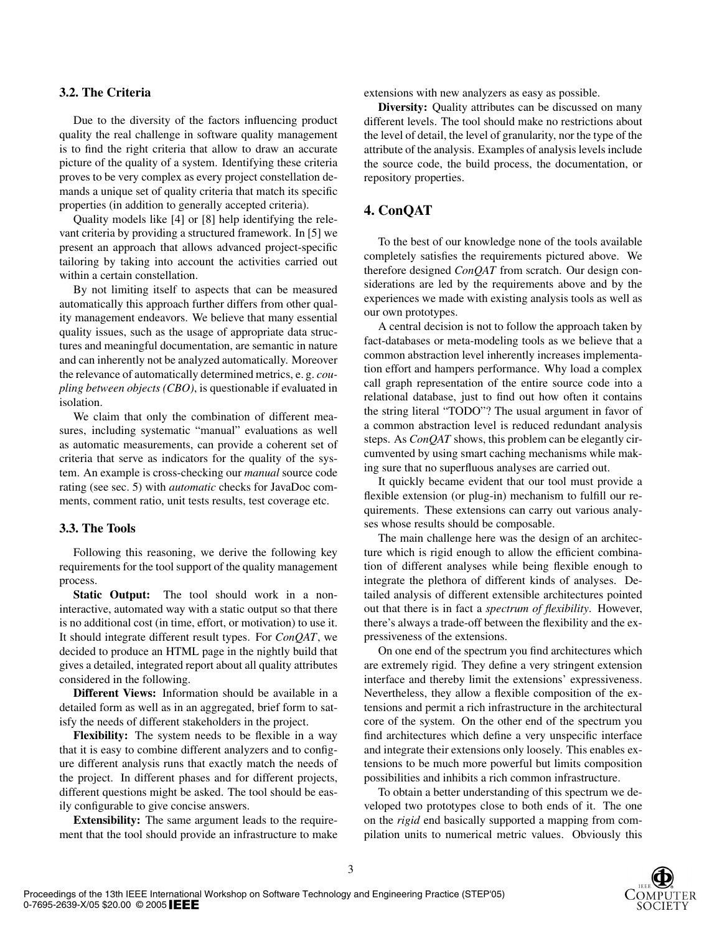#### 3.2. The Criteria

Due to the diversity of the factors influencing product quality the real challenge in software quality management is to find the right criteria that allow to draw an accurate picture of the quality of a system. Identifying these criteria proves to be very complex as every project constellation demands a unique set of quality criteria that match its specific properties (in addition to generally accepted criteria).

Quality models like [4] or [8] help identifying the relevant criteria by providing a structured framework. In [5] we present an approach that allows advanced project-specific tailoring by taking into account the activities carried out within a certain constellation.

By not limiting itself to aspects that can be measured automatically this approach further differs from other quality management endeavors. We believe that many essential quality issues, such as the usage of appropriate data structures and meaningful documentation, are semantic in nature and can inherently not be analyzed automatically. Moreover the relevance of automatically determined metrics, e. g. *coupling between objects (CBO)*, is questionable if evaluated in isolation.

We claim that only the combination of different measures, including systematic "manual" evaluations as well as automatic measurements, can provide a coherent set of criteria that serve as indicators for the quality of the system. An example is cross-checking our *manual* source code rating (see sec. 5) with *automatic* checks for JavaDoc comments, comment ratio, unit tests results, test coverage etc.

#### 3.3. The Tools

Following this reasoning, we derive the following key requirements for the tool support of the quality management process.

Static Output: The tool should work in a noninteractive, automated way with a static output so that there is no additional cost (in time, effort, or motivation) to use it. It should integrate different result types. For *ConQAT*, we decided to produce an HTML page in the nightly build that gives a detailed, integrated report about all quality attributes considered in the following.

Different Views: Information should be available in a detailed form as well as in an aggregated, brief form to satisfy the needs of different stakeholders in the project.

Flexibility: The system needs to be flexible in a way that it is easy to combine different analyzers and to configure different analysis runs that exactly match the needs of the project. In different phases and for different projects, different questions might be asked. The tool should be easily configurable to give concise answers.

Extensibility: The same argument leads to the requirement that the tool should provide an infrastructure to make extensions with new analyzers as easy as possible.

**Diversity:** Quality attributes can be discussed on many different levels. The tool should make no restrictions about the level of detail, the level of granularity, nor the type of the attribute of the analysis. Examples of analysis levels include the source code, the build process, the documentation, or repository properties.

### 4. ConQAT

To the best of our knowledge none of the tools available completely satisfies the requirements pictured above. We therefore designed *ConQAT* from scratch. Our design considerations are led by the requirements above and by the experiences we made with existing analysis tools as well as our own prototypes.

A central decision is not to follow the approach taken by fact-databases or meta-modeling tools as we believe that a common abstraction level inherently increases implementation effort and hampers performance. Why load a complex call graph representation of the entire source code into a relational database, just to find out how often it contains the string literal "TODO"? The usual argument in favor of a common abstraction level is reduced redundant analysis steps. As *ConQAT* shows, this problem can be elegantly circumvented by using smart caching mechanisms while making sure that no superfluous analyses are carried out.

It quickly became evident that our tool must provide a flexible extension (or plug-in) mechanism to fulfill our requirements. These extensions can carry out various analyses whose results should be composable.

The main challenge here was the design of an architecture which is rigid enough to allow the efficient combination of different analyses while being flexible enough to integrate the plethora of different kinds of analyses. Detailed analysis of different extensible architectures pointed out that there is in fact a *spectrum of flexibility*. However, there's always a trade-off between the flexibility and the expressiveness of the extensions.

On one end of the spectrum you find architectures which are extremely rigid. They define a very stringent extension interface and thereby limit the extensions' expressiveness. Nevertheless, they allow a flexible composition of the extensions and permit a rich infrastructure in the architectural core of the system. On the other end of the spectrum you find architectures which define a very unspecific interface and integrate their extensions only loosely. This enables extensions to be much more powerful but limits composition possibilities and inhibits a rich common infrastructure.

To obtain a better understanding of this spectrum we developed two prototypes close to both ends of it. The one on the *rigid* end basically supported a mapping from compilation units to numerical metric values. Obviously this

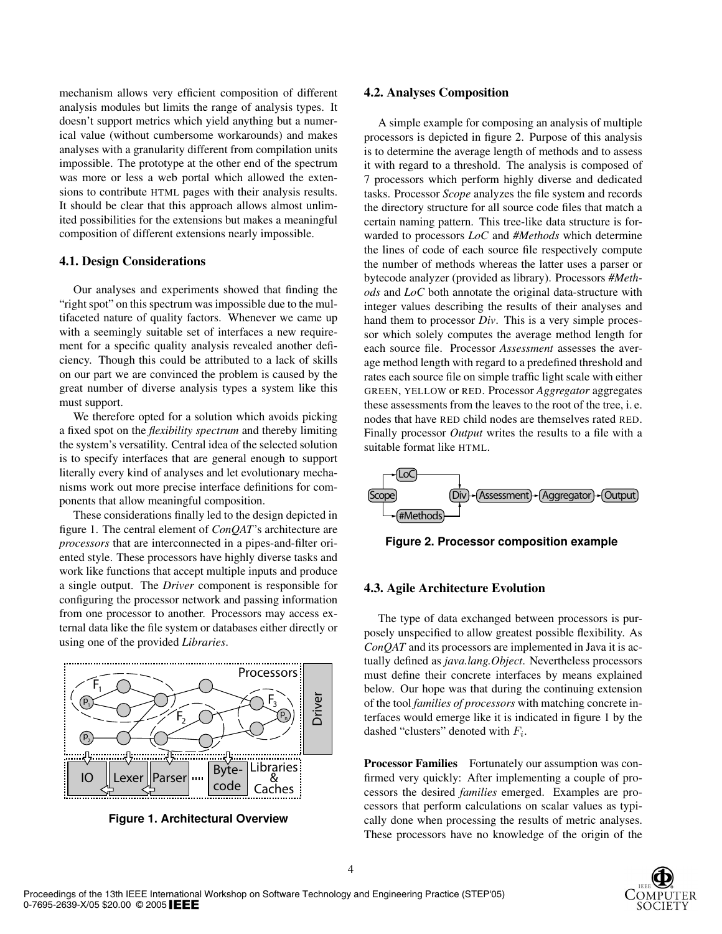mechanism allows very efficient composition of different analysis modules but limits the range of analysis types. It doesn't support metrics which yield anything but a numerical value (without cumbersome workarounds) and makes analyses with a granularity different from compilation units impossible. The prototype at the other end of the spectrum was more or less a web portal which allowed the extensions to contribute HTML pages with their analysis results. It should be clear that this approach allows almost unlimited possibilities for the extensions but makes a meaningful composition of different extensions nearly impossible.

#### 4.1. Design Considerations

Our analyses and experiments showed that finding the "right spot" on this spectrum was impossible due to the multifaceted nature of quality factors. Whenever we came up with a seemingly suitable set of interfaces a new requirement for a specific quality analysis revealed another deficiency. Though this could be attributed to a lack of skills on our part we are convinced the problem is caused by the great number of diverse analysis types a system like this must support.

We therefore opted for a solution which avoids picking a fixed spot on the *flexibility spectrum* and thereby limiting the system's versatility. Central idea of the selected solution is to specify interfaces that are general enough to support literally every kind of analyses and let evolutionary mechanisms work out more precise interface definitions for components that allow meaningful composition.

These considerations finally led to the design depicted in figure 1. The central element of *ConQAT*'s architecture are *processors* that are interconnected in a pipes-and-filter oriented style. These processors have highly diverse tasks and work like functions that accept multiple inputs and produce a single output. The *Driver* component is responsible for configuring the processor network and passing information from one processor to another. Processors may access external data like the file system or databases either directly or using one of the provided *Libraries*.



**Figure 1. Architectural Overview**

#### 4.2. Analyses Composition

A simple example for composing an analysis of multiple processors is depicted in figure 2. Purpose of this analysis is to determine the average length of methods and to assess it with regard to a threshold. The analysis is composed of 7 processors which perform highly diverse and dedicated tasks. Processor *Scope* analyzes the file system and records the directory structure for all source code files that match a certain naming pattern. This tree-like data structure is forwarded to processors *LoC* and *#Methods* which determine the lines of code of each source file respectively compute the number of methods whereas the latter uses a parser or bytecode analyzer (provided as library). Processors *#Methods* and *LoC* both annotate the original data-structure with integer values describing the results of their analyses and hand them to processor *Div*. This is a very simple processor which solely computes the average method length for each source file. Processor *Assessment* assesses the average method length with regard to a predefined threshold and rates each source file on simple traffic light scale with either GREEN, YELLOW or RED. Processor *Aggregator* aggregates these assessments from the leaves to the root of the tree, i. e. nodes that have RED child nodes are themselves rated RED. Finally processor *Output* writes the results to a file with a suitable format like HTML.



**Figure 2. Processor composition example**

#### 4.3. Agile Architecture Evolution

The type of data exchanged between processors is purposely unspecified to allow greatest possible flexibility. As *ConQAT* and its processors are implemented in Java it is actually defined as *java.lang.Object*. Nevertheless processors must define their concrete interfaces by means explained below. Our hope was that during the continuing extension of the tool *families of processors* with matching concrete interfaces would emerge like it is indicated in figure 1 by the dashed "clusters" denoted with  $F_i$ .

Processor Families Fortunately our assumption was confirmed very quickly: After implementing a couple of processors the desired *families* emerged. Examples are processors that perform calculations on scalar values as typically done when processing the results of metric analyses. These processors have no knowledge of the origin of the

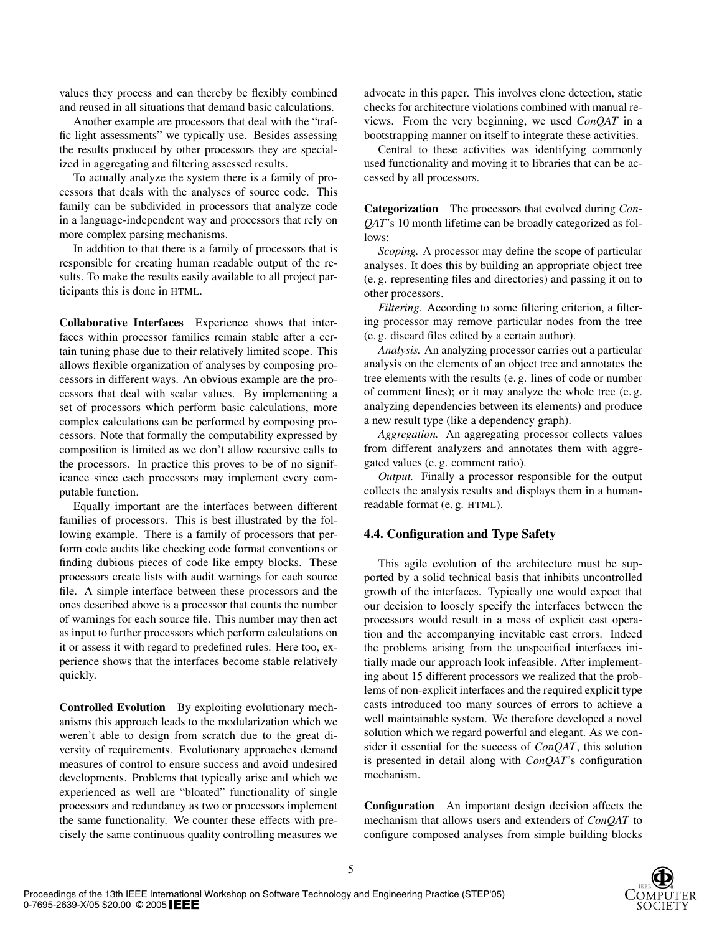values they process and can thereby be flexibly combined and reused in all situations that demand basic calculations.

Another example are processors that deal with the "traffic light assessments" we typically use. Besides assessing the results produced by other processors they are specialized in aggregating and filtering assessed results.

To actually analyze the system there is a family of processors that deals with the analyses of source code. This family can be subdivided in processors that analyze code in a language-independent way and processors that rely on more complex parsing mechanisms.

In addition to that there is a family of processors that is responsible for creating human readable output of the results. To make the results easily available to all project participants this is done in HTML.

Collaborative Interfaces Experience shows that interfaces within processor families remain stable after a certain tuning phase due to their relatively limited scope. This allows flexible organization of analyses by composing processors in different ways. An obvious example are the processors that deal with scalar values. By implementing a set of processors which perform basic calculations, more complex calculations can be performed by composing processors. Note that formally the computability expressed by composition is limited as we don't allow recursive calls to the processors. In practice this proves to be of no significance since each processors may implement every computable function.

Equally important are the interfaces between different families of processors. This is best illustrated by the following example. There is a family of processors that perform code audits like checking code format conventions or finding dubious pieces of code like empty blocks. These processors create lists with audit warnings for each source file. A simple interface between these processors and the ones described above is a processor that counts the number of warnings for each source file. This number may then act as input to further processors which perform calculations on it or assess it with regard to predefined rules. Here too, experience shows that the interfaces become stable relatively quickly.

Controlled Evolution By exploiting evolutionary mechanisms this approach leads to the modularization which we weren't able to design from scratch due to the great diversity of requirements. Evolutionary approaches demand measures of control to ensure success and avoid undesired developments. Problems that typically arise and which we experienced as well are "bloated" functionality of single processors and redundancy as two or processors implement the same functionality. We counter these effects with precisely the same continuous quality controlling measures we advocate in this paper. This involves clone detection, static checks for architecture violations combined with manual reviews. From the very beginning, we used *ConQAT* in a bootstrapping manner on itself to integrate these activities.

Central to these activities was identifying commonly used functionality and moving it to libraries that can be accessed by all processors.

Categorization The processors that evolved during *Con-QAT*'s 10 month lifetime can be broadly categorized as follows:

*Scoping.* A processor may define the scope of particular analyses. It does this by building an appropriate object tree (e. g. representing files and directories) and passing it on to other processors.

*Filtering.* According to some filtering criterion, a filtering processor may remove particular nodes from the tree (e. g. discard files edited by a certain author).

*Analysis.* An analyzing processor carries out a particular analysis on the elements of an object tree and annotates the tree elements with the results (e. g. lines of code or number of comment lines); or it may analyze the whole tree (e. g. analyzing dependencies between its elements) and produce a new result type (like a dependency graph).

*Aggregation.* An aggregating processor collects values from different analyzers and annotates them with aggregated values (e. g. comment ratio).

*Output.* Finally a processor responsible for the output collects the analysis results and displays them in a humanreadable format (e. g. HTML).

### 4.4. Configuration and Type Safety

This agile evolution of the architecture must be supported by a solid technical basis that inhibits uncontrolled growth of the interfaces. Typically one would expect that our decision to loosely specify the interfaces between the processors would result in a mess of explicit cast operation and the accompanying inevitable cast errors. Indeed the problems arising from the unspecified interfaces initially made our approach look infeasible. After implementing about 15 different processors we realized that the problems of non-explicit interfaces and the required explicit type casts introduced too many sources of errors to achieve a well maintainable system. We therefore developed a novel solution which we regard powerful and elegant. As we consider it essential for the success of *ConQAT*, this solution is presented in detail along with *ConQAT*'s configuration mechanism.

Configuration An important design decision affects the mechanism that allows users and extenders of *ConQAT* to configure composed analyses from simple building blocks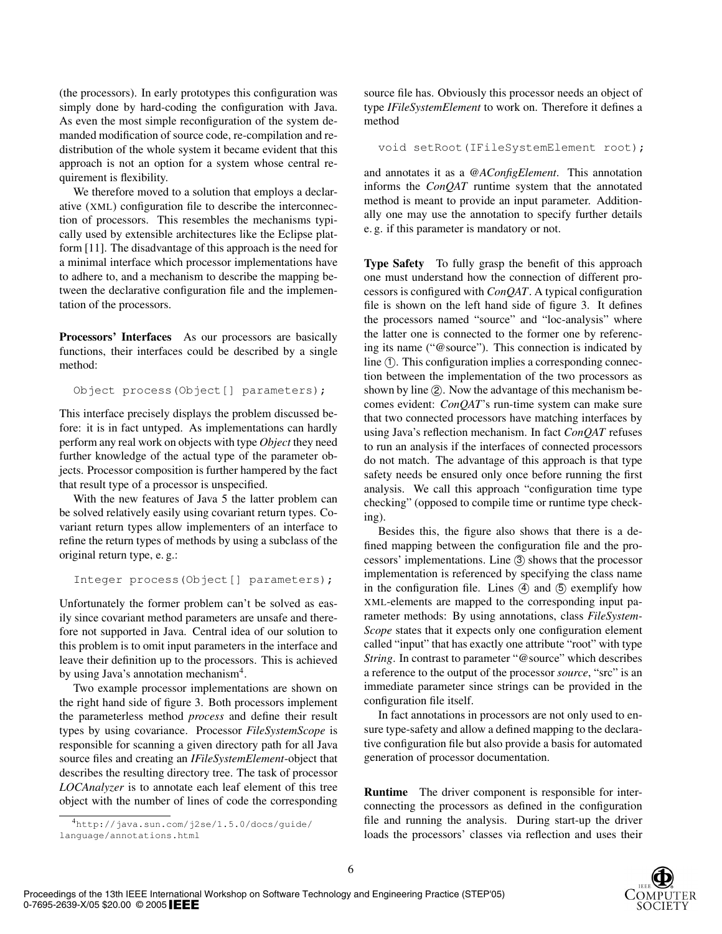(the processors). In early prototypes this configuration was simply done by hard-coding the configuration with Java. As even the most simple reconfiguration of the system demanded modification of source code, re-compilation and redistribution of the whole system it became evident that this approach is not an option for a system whose central requirement is flexibility.

We therefore moved to a solution that employs a declarative (XML) configuration file to describe the interconnection of processors. This resembles the mechanisms typically used by extensible architectures like the Eclipse platform [11]. The disadvantage of this approach is the need for a minimal interface which processor implementations have to adhere to, and a mechanism to describe the mapping between the declarative configuration file and the implementation of the processors.

Processors' Interfaces As our processors are basically functions, their interfaces could be described by a single method:

```
Object process(Object[] parameters);
```
This interface precisely displays the problem discussed before: it is in fact untyped. As implementations can hardly perform any real work on objects with type *Object* they need further knowledge of the actual type of the parameter objects. Processor composition is further hampered by the fact that result type of a processor is unspecified.

With the new features of Java 5 the latter problem can be solved relatively easily using covariant return types. Covariant return types allow implementers of an interface to refine the return types of methods by using a subclass of the original return type, e. g.:

```
Integer process(Object[] parameters);
```
Unfortunately the former problem can't be solved as easily since covariant method parameters are unsafe and therefore not supported in Java. Central idea of our solution to this problem is to omit input parameters in the interface and leave their definition up to the processors. This is achieved by using Java's annotation mechanism<sup>4</sup>.

Two example processor implementations are shown on the right hand side of figure 3. Both processors implement the parameterless method *process* and define their result types by using covariance. Processor *FileSystemScope* is responsible for scanning a given directory path for all Java source files and creating an *IFileSystemElement*-object that describes the resulting directory tree. The task of processor *LOCAnalyzer* is to annotate each leaf element of this tree object with the number of lines of code the corresponding

source file has. Obviously this processor needs an object of type *IFileSystemElement* to work on. Therefore it defines a method

```
void setRoot(IFileSystemElement root);
```
and annotates it as a *@AConfigElement*. This annotation informs the *ConQAT* runtime system that the annotated method is meant to provide an input parameter. Additionally one may use the annotation to specify further details e. g. if this parameter is mandatory or not.

Type Safety To fully grasp the benefit of this approach one must understand how the connection of different processors is configured with *ConQAT*. A typical configuration file is shown on the left hand side of figure 3. It defines the processors named "source" and "loc-analysis" where the latter one is connected to the former one by referencing its name ("@source"). This connection is indicated by line  $(1)$ . This configuration implies a corresponding connection between the implementation of the two processors as shown by line (2). Now the advantage of this mechanism becomes evident: *ConQAT*'s run-time system can make sure that two connected processors have matching interfaces by using Java's reflection mechanism. In fact *ConQAT* refuses to run an analysis if the interfaces of connected processors do not match. The advantage of this approach is that type safety needs be ensured only once before running the first analysis. We call this approach "configuration time type checking" (opposed to compile time or runtime type checking).

Besides this, the figure also shows that there is a defined mapping between the configuration file and the processors' implementations. Line  $\circled{3}$  shows that the processor implementation is referenced by specifying the class name in the configuration file. Lines  $\Phi$  and  $\Phi$  exemplify how XML-elements are mapped to the corresponding input parameter methods: By using annotations, class *FileSystem-Scope* states that it expects only one configuration element called "input" that has exactly one attribute "root" with type *String*. In contrast to parameter "@source" which describes a reference to the output of the processor *source*, "src" is an immediate parameter since strings can be provided in the configuration file itself.

In fact annotations in processors are not only used to ensure type-safety and allow a defined mapping to the declarative configuration file but also provide a basis for automated generation of processor documentation.

Runtime The driver component is responsible for interconnecting the processors as defined in the configuration file and running the analysis. During start-up the driver loads the processors' classes via reflection and uses their



<sup>4</sup>http://java.sun.com/j2se/1.5.0/docs/guide/ language/annotations.html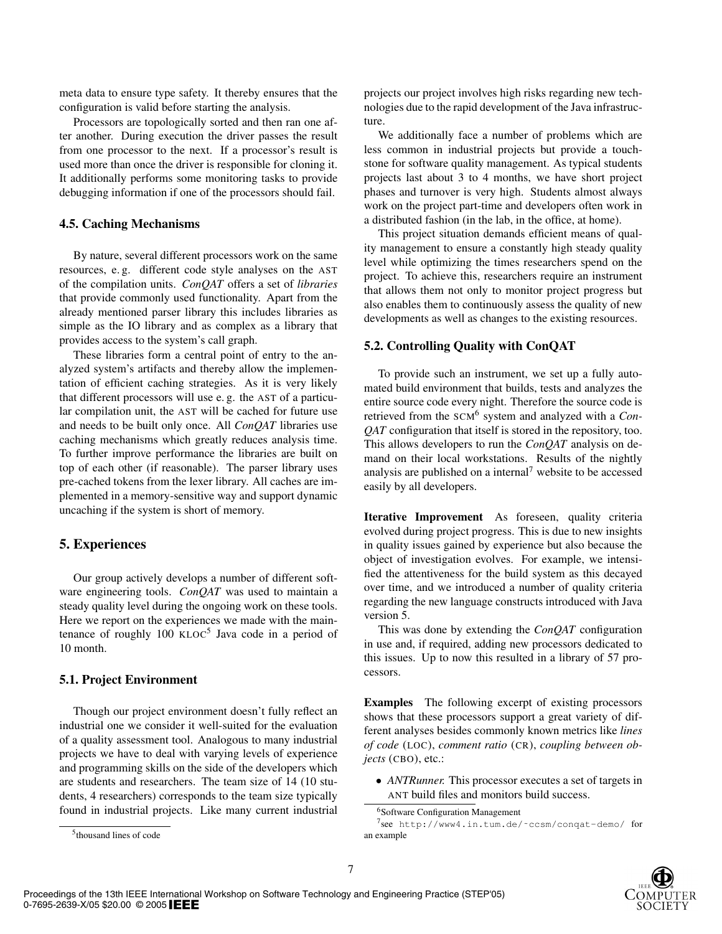meta data to ensure type safety. It thereby ensures that the configuration is valid before starting the analysis.

Processors are topologically sorted and then ran one after another. During execution the driver passes the result from one processor to the next. If a processor's result is used more than once the driver is responsible for cloning it. It additionally performs some monitoring tasks to provide debugging information if one of the processors should fail.

#### 4.5. Caching Mechanisms

By nature, several different processors work on the same resources, e. g. different code style analyses on the AST of the compilation units. *ConQAT* offers a set of *libraries* that provide commonly used functionality. Apart from the already mentioned parser library this includes libraries as simple as the IO library and as complex as a library that provides access to the system's call graph.

These libraries form a central point of entry to the analyzed system's artifacts and thereby allow the implementation of efficient caching strategies. As it is very likely that different processors will use e. g. the AST of a particular compilation unit, the AST will be cached for future use and needs to be built only once. All *ConQAT* libraries use caching mechanisms which greatly reduces analysis time. To further improve performance the libraries are built on top of each other (if reasonable). The parser library uses pre-cached tokens from the lexer library. All caches are implemented in a memory-sensitive way and support dynamic uncaching if the system is short of memory.

### 5. Experiences

Our group actively develops a number of different software engineering tools. *ConQAT* was used to maintain a steady quality level during the ongoing work on these tools. Here we report on the experiences we made with the maintenance of roughly  $100$  KLOC<sup>5</sup> Java code in a period of 10 month.

### 5.1. Project Environment

Though our project environment doesn't fully reflect an industrial one we consider it well-suited for the evaluation of a quality assessment tool. Analogous to many industrial projects we have to deal with varying levels of experience and programming skills on the side of the developers which are students and researchers. The team size of 14 (10 students, 4 researchers) corresponds to the team size typically found in industrial projects. Like many current industrial

7

projects our project involves high risks regarding new technologies due to the rapid development of the Java infrastructure.

We additionally face a number of problems which are less common in industrial projects but provide a touchstone for software quality management. As typical students projects last about 3 to 4 months, we have short project phases and turnover is very high. Students almost always work on the project part-time and developers often work in a distributed fashion (in the lab, in the office, at home).

This project situation demands efficient means of quality management to ensure a constantly high steady quality level while optimizing the times researchers spend on the project. To achieve this, researchers require an instrument that allows them not only to monitor project progress but also enables them to continuously assess the quality of new developments as well as changes to the existing resources.

#### 5.2. Controlling Quality with ConQAT

To provide such an instrument, we set up a fully automated build environment that builds, tests and analyzes the entire source code every night. Therefore the source code is retrieved from the SCM<sup>6</sup> system and analyzed with a *Con*-*QAT* configuration that itself is stored in the repository, too. This allows developers to run the *ConQAT* analysis on demand on their local workstations. Results of the nightly analysis are published on a internal<sup>7</sup> website to be accessed easily by all developers.

Iterative Improvement As foreseen, quality criteria evolved during project progress. This is due to new insights in quality issues gained by experience but also because the object of investigation evolves. For example, we intensified the attentiveness for the build system as this decayed over time, and we introduced a number of quality criteria regarding the new language constructs introduced with Java version 5.

This was done by extending the *ConQAT* configuration in use and, if required, adding new processors dedicated to this issues. Up to now this resulted in a library of 57 processors.

Examples The following excerpt of existing processors shows that these processors support a great variety of different analyses besides commonly known metrics like *lines of code* (LOC), *comment ratio* (CR), *coupling between objects* (CBO), etc.:

• *ANTRunner.* This processor executes a set of targets in ANT build files and monitors build success.

<sup>7</sup>see http://www4.in.tum.de/˜ccsm/conqat-demo/ for an example



<sup>5</sup>thousand lines of code

<sup>6</sup>Software Configuration Management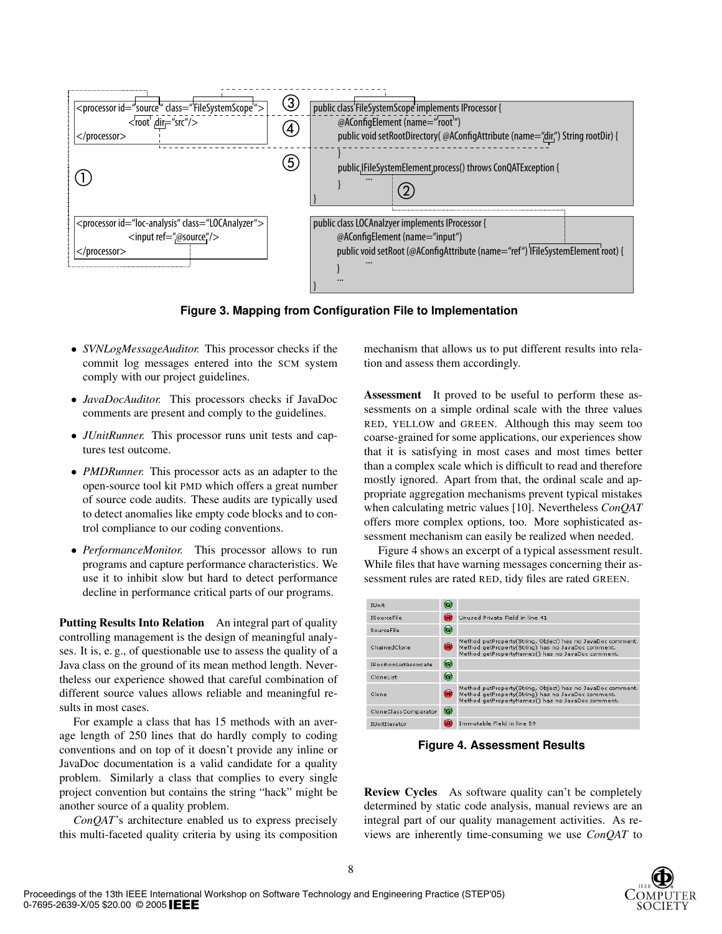

**Figure 3. Mapping from Configuration File to Implementation**

- *SVNLogMessageAuditor.* This processor checks if the commit log messages entered into the SCM system comply with our project guidelines.
- *JavaDocAuditor.* This processors checks if JavaDoc comments are present and comply to the guidelines.
- *JUnitRunner.* This processor runs unit tests and captures test outcome.
- *PMDRunner.* This processor acts as an adapter to the open-source tool kit PMD which offers a great number of source code audits. These audits are typically used to detect anomalies like empty code blocks and to control compliance to our coding conventions.
- *PerformanceMonitor.* This processor allows to run programs and capture performance characteristics. We use it to inhibit slow but hard to detect performance decline in performance critical parts of our programs.

Putting Results Into Relation An integral part of quality controlling management is the design of meaningful analyses. It is, e. g., of questionable use to assess the quality of a Java class on the ground of its mean method length. Nevertheless our experience showed that careful combination of different source values allows reliable and meaningful results in most cases.

For example a class that has 15 methods with an average length of 250 lines that do hardly comply to coding conventions and on top of it doesn't provide any inline or JavaDoc documentation is a valid candidate for a quality problem. Similarly a class that complies to every single project convention but contains the string "hack" might be another source of a quality problem.

*ConQAT*'s architecture enabled us to express precisely this multi-faceted quality criteria by using its composition mechanism that allows us to put different results into relation and assess them accordingly.

Assessment It proved to be useful to perform these assessments on a simple ordinal scale with the three values RED, YELLOW and GREEN. Although this may seem too coarse-grained for some applications, our experiences show that it is satisfying in most cases and most times better than a complex scale which is difficult to read and therefore mostly ignored. Apart from that, the ordinal scale and appropriate aggregation mechanisms prevent typical mistakes when calculating metric values [10]. Nevertheless *ConQAT* offers more complex options, too. More sophisticated assessment mechanism can easily be realized when needed.

Figure 4 shows an excerpt of a typical assessment result. While files that have warning messages concerning their assessment rules are rated RED, tidy files are rated GREEN.

| IUnit                  | т         |                                                                                                                                                                       |
|------------------------|-----------|-----------------------------------------------------------------------------------------------------------------------------------------------------------------------|
| <b>ISourceFile</b>     |           | Unused Private Field in line 41                                                                                                                                       |
| SourceFile             | G         |                                                                                                                                                                       |
| ChainedClone           | Q.        | Method putProperty(String, Object) has no JavaDoc comment.<br>Method getProperty(String) has no JavaDoc comment.<br>Method getPropertyNames() has no JavaDoc comment. |
| IPositionListAssociate | $\bullet$ |                                                                                                                                                                       |
| CloneList              | G         |                                                                                                                                                                       |
| Clone                  | A         | Method putProperty(String, Object) has no JavaDoc comment.<br>Method getProperty(String) has no JavaDoc comment.<br>Method getPropertyNames() has no JavaDoc comment. |
| CloneClassComparator   | G         |                                                                                                                                                                       |
| IUnitIterator          |           | Immutable Field in line 59                                                                                                                                            |

**Figure 4. Assessment Results**

Review Cycles As software quality can't be completely determined by static code analysis, manual reviews are an integral part of our quality management activities. As reviews are inherently time-consuming we use *ConQAT* to

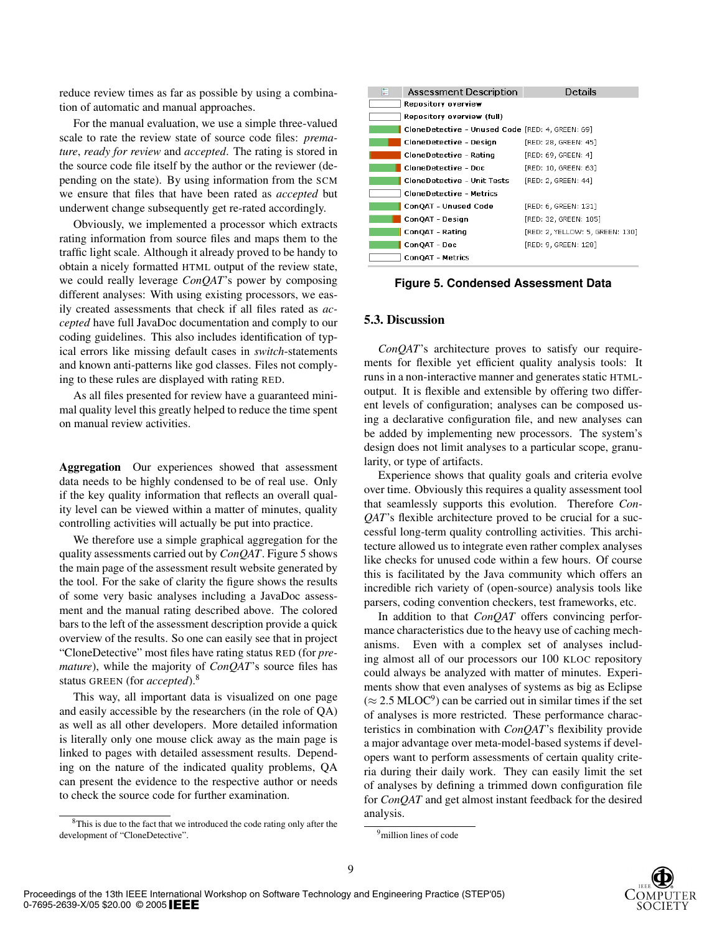reduce review times as far as possible by using a combination of automatic and manual approaches.

For the manual evaluation, we use a simple three-valued scale to rate the review state of source code files: *premature*, *ready for review* and *accepted*. The rating is stored in the source code file itself by the author or the reviewer (depending on the state). By using information from the SCM we ensure that files that have been rated as *accepted* but underwent change subsequently get re-rated accordingly.

Obviously, we implemented a processor which extracts rating information from source files and maps them to the traffic light scale. Although it already proved to be handy to obtain a nicely formatted HTML output of the review state, we could really leverage *ConQAT*'s power by composing different analyses: With using existing processors, we easily created assessments that check if all files rated as *accepted* have full JavaDoc documentation and comply to our coding guidelines. This also includes identification of typical errors like missing default cases in *switch*-statements and known anti-patterns like god classes. Files not complying to these rules are displayed with rating RED.

As all files presented for review have a guaranteed minimal quality level this greatly helped to reduce the time spent on manual review activities.

Aggregation Our experiences showed that assessment data needs to be highly condensed to be of real use. Only if the key quality information that reflects an overall quality level can be viewed within a matter of minutes, quality controlling activities will actually be put into practice.

We therefore use a simple graphical aggregation for the quality assessments carried out by *ConQAT*. Figure 5 shows the main page of the assessment result website generated by the tool. For the sake of clarity the figure shows the results of some very basic analyses including a JavaDoc assessment and the manual rating described above. The colored bars to the left of the assessment description provide a quick overview of the results. So one can easily see that in project "CloneDetective" most files have rating status RED (for *premature*), while the majority of *ConQAT*'s source files has status GREEN (for *accepted*).8

This way, all important data is visualized on one page and easily accessible by the researchers (in the role of QA) as well as all other developers. More detailed information is literally only one mouse click away as the main page is linked to pages with detailed assessment results. Depending on the nature of the indicated quality problems, QA can present the evidence to the respective author or needs to check the source code for further examination.



**Figure 5. Condensed Assessment Data**

#### 5.3. Discussion

*ConQAT*'s architecture proves to satisfy our requirements for flexible yet efficient quality analysis tools: It runs in a non-interactive manner and generates static HTMLoutput. It is flexible and extensible by offering two different levels of configuration; analyses can be composed using a declarative configuration file, and new analyses can be added by implementing new processors. The system's design does not limit analyses to a particular scope, granularity, or type of artifacts.

Experience shows that quality goals and criteria evolve over time. Obviously this requires a quality assessment tool that seamlessly supports this evolution. Therefore *Con-QAT*'s flexible architecture proved to be crucial for a successful long-term quality controlling activities. This architecture allowed us to integrate even rather complex analyses like checks for unused code within a few hours. Of course this is facilitated by the Java community which offers an incredible rich variety of (open-source) analysis tools like parsers, coding convention checkers, test frameworks, etc.

In addition to that *ConQAT* offers convincing performance characteristics due to the heavy use of caching mechanisms. Even with a complex set of analyses including almost all of our processors our 100 KLOC repository could always be analyzed with matter of minutes. Experiments show that even analyses of systems as big as Eclipse  $(\approx 2.5 \text{ MLOC}^9)$  can be carried out in similar times if the set of analyses is more restricted. These performance characteristics in combination with *ConQAT*'s flexibility provide a major advantage over meta-model-based systems if developers want to perform assessments of certain quality criteria during their daily work. They can easily limit the set of analyses by defining a trimmed down configuration file for *ConQAT* and get almost instant feedback for the desired analysis.

<sup>8</sup>This is due to the fact that we introduced the code rating only after the development of "CloneDetective".

<sup>&</sup>lt;sup>9</sup>million lines of code